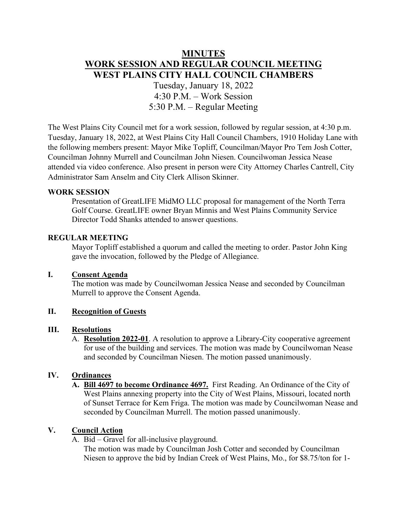# **MINUTES WORK SESSION AND REGULAR COUNCIL MEETING WEST PLAINS CITY HALL COUNCIL CHAMBERS**

Tuesday, January 18, 2022  $4:30$  P.M. – Work Session 5:30 P.M. – Regular Meeting

The West Plains City Council met for a work session, followed by regular session, at 4:30 p.m. Tuesday, January 18, 2022, at West Plains City Hall Council Chambers, 1910 Holiday Lane with the following members present: Mayor Mike Topliff, Councilman/Mayor Pro Tem Josh Cotter, Councilman Johnny Murrell and Councilman John Niesen. Councilwoman Jessica Nease attended via video conference. Also present in person were City Attorney Charles Cantrell, City Administrator Sam Anselm and City Clerk Allison Skinner.

## **WORK SESSION**

Presentation of GreatLIFE MidMO LLC proposal for management of the North Terra Golf Course. GreatLIFE owner Bryan Minnis and West Plains Community Service Director Todd Shanks attended to answer questions.

#### **REGULAR MEETING**

Mayor Topliff established a quorum and called the meeting to order. Pastor John King gave the invocation, followed by the Pledge of Allegiance.

## **I. Consent Agenda**

The motion was made by Councilwoman Jessica Nease and seconded by Councilman Murrell to approve the Consent Agenda.

# **II. Recognition of Guests**

#### **III. Resolutions**

A. **Resolution 2022-01**. A resolution to approve a Library-City cooperative agreement for use of the building and services. The motion was made by Councilwoman Nease and seconded by Councilman Niesen. The motion passed unanimously.

#### **IV. Ordinances**

**A. Bill 4697 to become Ordinance 4697.** First Reading. An Ordinance of the City of West Plains annexing property into the City of West Plains, Missouri, located north of Sunset Terrace for Kem Friga. The motion was made by Councilwoman Nease and seconded by Councilman Murrell. The motion passed unanimously.

## **V. Council Action**

A. Bid – Gravel for all-inclusive playground.

The motion was made by Councilman Josh Cotter and seconded by Councilman Niesen to approve the bid by Indian Creek of West Plains, Mo., for \$8.75/ton for 1-